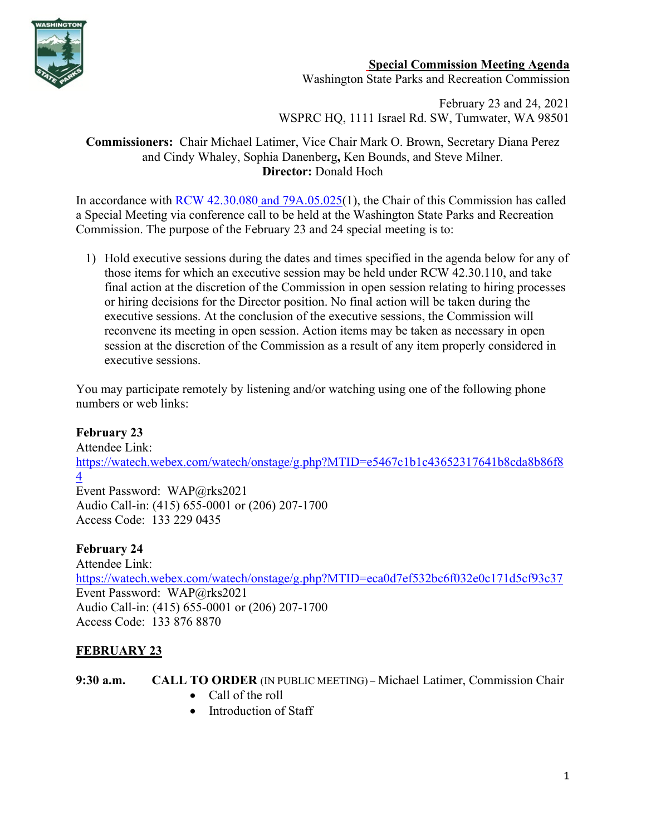

## **Special Commission Meeting Agenda**

Washington State Parks and Recreation Commission

February 23 and 24, 2021 WSPRC HQ, 1111 Israel Rd. SW, Tumwater, WA 98501

### **Commissioners:** Chair Michael Latimer, Vice Chair Mark O. Brown, Secretary Diana Perez and Cindy Whaley, Sophia Danenberg**,** Ken Bounds, and Steve Milner. **Director:** Donald Hoch

In accordance with [RCW 42.30.080](https://gcc02.safelinks.protection.outlook.com/?url=http%3A%2F%2Fapp.leg.wa.gov%2FRCW%2Fdefault.aspx%3Fcite%3D42.30.080&data=04%7C01%7CBecki.Ellison%40parks.wa.gov%7C9d0a10a54cda45f96e1a08d8a37f32d5%7C11d0e217264e400a8ba057dcc127d72d%7C0%7C0%7C637439113993792876%7CUnknown%7CTWFpbGZsb3d8eyJWIjoiMC4wLjAwMDAiLCJQIjoiV2luMzIiLCJBTiI6Ik1haWwiLCJXVCI6Mn0%3D%7C1000&sdata=dvFG7wtQixDX%2BxAzXhZJkkn%2Bo1RvVDrbL8ymhX5GnQg%3D&reserved=0) and [79A.05.025\(](http://app.leg.wa.gov/RCW/default.aspx?cite=79A.05.025)1), the Chair of this Commission has called a Special Meeting via conference call to be held at the Washington State Parks and Recreation Commission. The purpose of the February 23 and 24 special meeting is to:

1) Hold executive sessions during the dates and times specified in the agenda below for any of those items for which an executive session may be held under RCW 42.30.110, and take final action at the discretion of the Commission in open session relating to hiring processes or hiring decisions for the Director position. No final action will be taken during the executive sessions. At the conclusion of the executive sessions, the Commission will reconvene its meeting in open session. Action items may be taken as necessary in open session at the discretion of the Commission as a result of any item properly considered in executive sessions.

You may participate remotely by listening and/or watching using one of the following phone numbers or web links:

## **February 23**

Attendee Link: [https://watech.webex.com/watech/onstage/g.php?MTID=e5467c1b1c43652317641b8cda8b86f8](https://watech.webex.com/watech/onstage/g.php?MTID=e5467c1b1c43652317641b8cda8b86f84) [4](https://watech.webex.com/watech/onstage/g.php?MTID=e5467c1b1c43652317641b8cda8b86f84) Event Password: WAP@rks2021 Audio Call-in: (415) 655-0001 or (206) 207-1700 Access Code: 133 229 0435

## **February 24**

Attendee Link: [https://watech.webex.com/watech/onstage/g.php?MTID=eca0d7ef532bc6f032e0c171d5cf93c37](https://gcc02.safelinks.protection.outlook.com/?url=https%3A%2F%2Fwatech.webex.com%2Fwatech%2Fonstage%2Fg.php%3FMTID%3Deca0d7ef532bc6f032e0c171d5cf93c37&data=04%7C01%7CBecki.Ellison%40parks.wa.gov%7C2eb9e3ca5a0345193e4308d8d4372989%7C11d0e217264e400a8ba057dcc127d72d%7C0%7C0%7C637492680666122051%7CUnknown%7CTWFpbGZsb3d8eyJWIjoiMC4wLjAwMDAiLCJQIjoiV2luMzIiLCJBTiI6Ik1haWwiLCJXVCI6Mn0%3D%7C1000&sdata=oHXcmV4ytVcUdVE7nOFBFeabTg3YA2HUy5GRJKpYeVA%3D&reserved=0) Event Password: WAP@rks2021 Audio Call-in: (415) 655-0001 or (206) 207-1700 Access Code: 133 876 8870

# **FEBRUARY 23**

**9:30 a.m. CALL TO ORDER** (IN PUBLIC MEETING) – Michael Latimer, Commission Chair

- Call of the roll
- Introduction of Staff